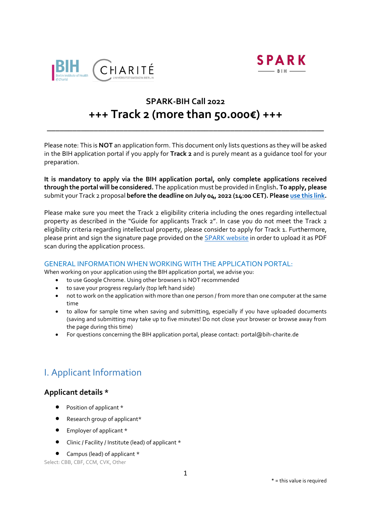



# **SPARK-BIH Call 2022 +++ Track 2 (more than 50.000€) +++**

\_\_\_\_\_\_\_\_\_\_\_\_\_\_\_\_\_\_\_\_\_\_\_\_\_\_\_\_\_\_\_\_\_\_\_\_\_\_\_\_\_\_\_\_\_\_\_\_\_\_\_\_\_\_\_\_\_\_\_\_\_\_\_\_\_

Please note: This is **NOT** an application form. This document only lists questions as they will be asked in the BIH application portal if you apply for **Track 2** and is purely meant as a guidance tool for your preparation.

**It is mandatory to apply via the BIH application portal, only complete applications received through the portal will be considered.** The application must be provided in English**. To apply, please** submit your Track 2 proposal **before the deadline on July 04, 2022 (14:00 CET). Please [use this link.](https://portal.bihealth.de/portal/)** 

Please make sure you meet the Track 2 eligibility criteria including the ones regarding intellectual property as described in the "Guide for applicants Track 2". In case you do not meet the Track 2 eligibility criteria regarding intellectual property, please consider to apply for Track 1. Furthermore, please print and sign the signature page provided on the **SPARK** [website](https://www.spark-bih.de/program/application) in order to upload it as PDF scan during the application process.

### GENERAL INFORMATION WHEN WORKING WITH THE APPLICATION PORTAL:

When working on your application using the BIH application portal, we advise you:

- to use Google Chrome. Using other browsers is NOT recommended
- to save your progress regularly (top left hand side)
- not to work on the application with more than one person / from more than one computer at the same time
- to allow for sample time when saving and submitting, especially if you have uploaded documents (saving and submitting may take up to five minutes! Do not close your browser or browse away from the page during this time)
- For questions concerning the BIH application portal, please contact[: portal@bih-charite.de](mailto:portal@bih-charite.de)

# I. Applicant Information

## **Applicant details \***

- Position of applicant \*
- Research group of applicant\*
- Employer of applicant \*
- Clinic / Facility / Institute (lead) of applicant \*
- Campus (lead) of applicant \*

Select: CBB, CBF, CCM, CVK, Other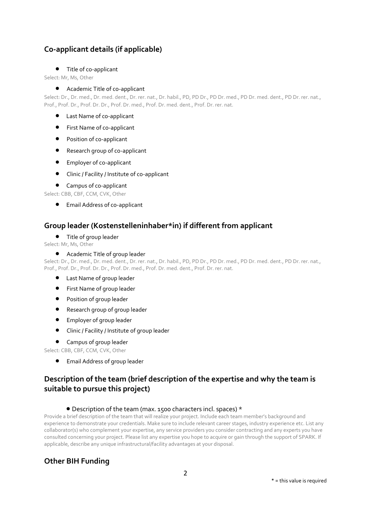## **Co-applicant details (if applicable)**

#### Title of co-applicant

Select: Mr, Ms, Other

#### Academic Title of co-applicant

Select: Dr., Dr. med., Dr. med. dent., Dr. rer. nat., Dr. habil., PD, PD Dr., PD Dr. med., PD Dr. med. dent., PD Dr. rer. nat., Prof., Prof. Dr., Prof. Dr. Dr., Prof. Dr. med., Prof. Dr. med. dent., Prof. Dr. rer. nat.

- Last Name of co-applicant
- **•** First Name of co-applicant
- Position of co-applicant
- Research group of co-applicant
- **•** Employer of co-applicant
- Clinic / Facility / Institute of co-applicant

#### Campus of co-applicant

Select: CBB, CBF, CCM, CVK, Other

Email Address of co-applicant

## **Group leader (Kostenstelleninhaber\*in) if different from applicant**

#### Title of group leader

Select: Mr, Ms, Other

#### Academic Title of group leader

Select: Dr., Dr. med., Dr. med. dent., Dr. rer. nat., Dr. habil., PD, PD Dr., PD Dr. med., PD Dr. med. dent., PD Dr. rer. nat., Prof., Prof. Dr., Prof. Dr. Dr., Prof. Dr. med., Prof. Dr. med. dent., Prof. Dr. rer. nat.

- Last Name of group leader
- **•** First Name of group leader
- **•** Position of group leader
- **•** Research group of group leader
- Employer of group leader
- Clinic / Facility / Institute of group leader
- Campus of group leader

Select: CBB, CBF, CCM, CVK, Other

Email Address of group leader

## **Description of the team (brief description of the expertise and why the team is suitable to pursue this project)**

#### Description of the team (max. 1500 characters incl. spaces) \*

Provide a brief description of the team that will realize your project. Include each team member's background and experience to demonstrate your credentials. Make sure to include relevant career stages, industry experience etc. List any collaborator(s) who complement your expertise, any service providers you consider contracting and any experts you have consulted concerning your project. Please list any expertise you hope to acquire or gain through the support of SPARK. If applicable, describe any unique infrastructural/facility advantages at your disposal.

## **Other BIH Funding**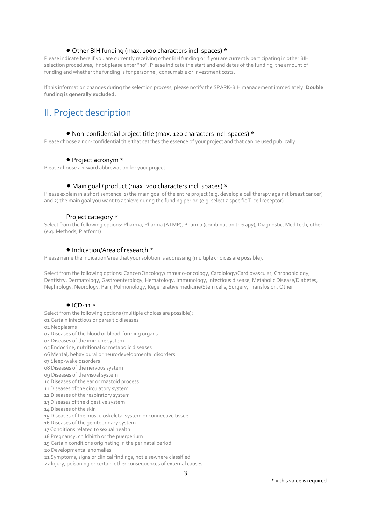#### Other BIH funding (max. 1000 characters incl. spaces) \*

Please indicate here if you are currently receiving other BIH funding or if you are currently participating in other BIH selection procedures, if not please enter "no". Please indicate the start and end dates of the funding, the amount of funding and whether the funding is for personnel, consumable or investment costs.

If this information changes during the selection process, please notify the SPARK-BIH management immediately. **Double funding is generally excluded.**

# II. Project description

#### Non-confidential project title (max. 120 characters incl. spaces) \*

Please choose a non-confidential title that catches the essence of your project and that can be used publically.

#### ● Project acronym \*

Please choose a 1-word abbreviation for your project.

#### Main goal / product (max. 200 characters incl. spaces) \*

Please explain in a short sentence 1) the main goal of the entire project (e.g. develop a cell therapy against breast cancer) and 2) the main goal you want to achieve during the funding period (e.g. select a specific T-cell receptor).

#### Project category \*

Select from the following options: Pharma, Pharma (ATMP), Pharma (combination therapy), Diagnostic, MedTech, other (e.g. Methods, Platform)

#### • Indication/Area of research \*

Please name the indication/area that your solution is addressing (multiple choices are possible).

Select from the following options: Cancer/Oncology/Immuno-oncology, Cardiology/Cardiovascular, Chronobiology, Dentistry, Dermatology, Gastroenterology, Hematology, Immunology, Infectious disease, Metabolic Disease/Diabetes, Nephrology, Neurology, Pain, Pulmonology, Regenerative medicine/Stem cells, Surgery, Transfusion, Other

#### $\bullet$  ICD-11  $*$

Select from the following options (multiple choices are possible):

01 Certain infectious or parasitic diseases

02 Neoplasms

03 Diseases of the blood or blood-forming organs

04 Diseases of the immune system

05 Endocrine, nutritional or metabolic diseases

- 06 Mental, behavioural or neurodevelopmental disorders
- 07 Sleep-wake disorders

08 Diseases of the nervous system

09 Diseases of the visual system

10 Diseases of the ear or mastoid process

- 11 Diseases of the circulatory system
- 12 Diseases of the respiratory system
- 13 Diseases of the digestive system
- 14 Diseases of the skin

15 Diseases of the musculoskeletal system or connective tissue

16 Diseases of the genitourinary system

17 Conditions related to sexual health

18 Pregnancy, childbirth or the puerperium

19 Certain conditions originating in the perinatal period

20 Developmental anomalies

21 Symptoms, signs or clinical findings, not elsewhere classified

22 Injury, poisoning or certain other consequences of external causes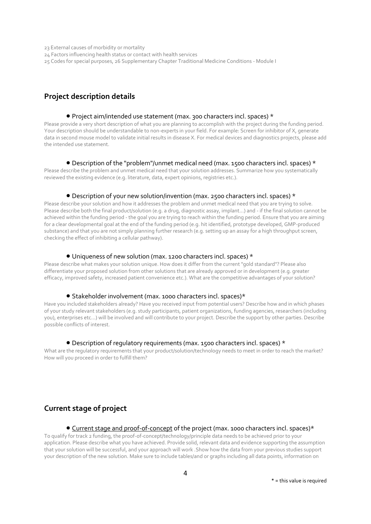23 External causes of morbidity or mortality

24 Factors influencing health status or contact with health services

25 Codes for special purposes, 26 Supplementary Chapter Traditional Medicine Conditions - Module I

## **Project description details**

#### Project aim/intended use statement (max. 300 characters incl. spaces) \*

Please provide a very short description of what you are planning to accomplish with the project during the funding period. Your description should be understandable to non-experts in your field. For example: Screen for inhibitor of X, generate data in second mouse model to validate initial results in disease X. For medical devices and diagnostics projects, please add the intended use statement.

#### Description of the "problem"/unmet medical need (max. 1500 characters incl. spaces) \*

Please describe the problem and unmet medical need that your solution addresses. Summarize how you systematically reviewed the existing evidence (e.g. literature, data, expert opinions, registries etc.).

#### Description of your new solution/invention (max. 2500 characters incl. spaces) \*

Please describe your solution and how it addresses the problem and unmet medical need that you are trying to solve. Please describe both the final product/solution (e.g. a drug, diagnostic assay, implant...) and - if the final solution cannot be achieved within the funding period - the goal you are trying to reach within the funding period. Ensure that you are aiming for a clear developmental goal at the end of the funding period (e.g. hit identified, prototype developed, GMP-produced substance) and that you are not simply planning further research (e.g. setting up an assay for a high throughput screen, checking the effect of inhibiting a cellular pathway).

#### Uniqueness of new solution (max. 1200 characters incl. spaces) \*

Please describe what makes your solution unique. How does it differ from the current "gold standard"? Please also differentiate your proposed solution from other solutions that are already approved or in development (e.g. greater efficacy, improved safety, increased patient convenience etc.). What are the competitive advantages of your solution?

#### ● Stakeholder involvement (max. 1000 characters incl. spaces)\*

Have you included stakeholders already? Have you received input from potential users? Describe how and in which phases of your study relevant stakeholders (e.g. study participants, patient organizations, funding agencies, researchers (including you), enterprises etc...) will be involved and will contribute to your project. Describe the support by other parties. Describe possible conflicts of interest.

#### Description of regulatory requirements (max. 1500 characters incl. spaces) \*

What are the regulatory requirements that your product/solution/technology needs to meet in order to reach the market? How will you proceed in order to fulfill them?

## **Current stage of project**

### • Current stage and proof-of-concept of the project (max. 1000 characters incl. spaces)\*

To qualify for track 2 funding, the proof-of-concept/technology/principle data needs to be achieved prior to your application. Please describe what you have achieved. Provide solid, relevant data and evidence supporting the assumption that your solution will be successful, and your approach will work .Show how the data from your previous studies support your description of the new solution. Make sure to include tables/and or graphs including all data points, information on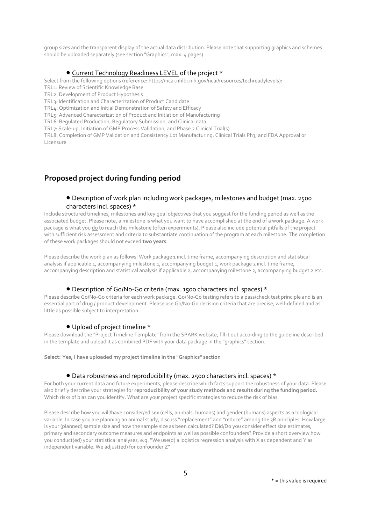group sizes and the transparent display of the actual data distribution. Please note that supporting graphics and schemes should be uploaded separately (see section "Graphics", max. 4 pages)

#### Current Technology Readiness LEVEL of the project \*

Select from the following options (reference: https://ncai.nhlbi.nih.gov/ncai/resources/techreadylevels):

TRL1: Review of Scientific Knowledge Base

TRL2: Development of Product Hypothesis

TRL3: Identification and Characterization of Product Candidate

TRL4: Optimization and Initial Demonstration of Safety and Efficacy

TRL5: Advanced Characterization of Product and Initiation of Manufacturing

TRL6: Regulated Production, Regulatory Submission, and Clinical data

TRL7: Scale-up, Initiation of GMP Process Validation, and Phase 2 Clinical Trial(s)

TRL8: Completion of GMP Validation and Consistency Lot Manufacturing, Clinical Trials Ph3, and FDA Approval or Licensure

## **Proposed project during funding period**

#### Description of work plan including work packages, milestones and budget (max. 2500 characters incl. spaces) \*

Include structured timelines, milestones and key goal objectives that you suggest for the funding period as well as the associated budget. Please note, a milestone is what you want to have accomplished at the end of a work package. A work package is what you do to reach this milestone (often experiments). Please also include potential pitfalls of the project with sufficient risk assessment and criteria to substantiate continuation of the program at each milestone. The completion of these work packages should not exceed **two years**.

Please describe the work plan as follows: Work package 1 incl. time frame, accompanying description and statistical analysis if applicable 1, accompanying milestone 1, accompanying budget 1, work package 2 incl. time frame, accompanying description and statistical analysis if applicable 2, accompanying milestone 2, accompanying budget 2 etc.

#### Description of Go/No-Go criteria (max. 1500 characters incl. spaces) \*

Please describe Go/No-Go criteria for each work package. Go/No-Go testing refers to a pass/check test principle and is an essential part of drug / product development. Please use Go/No-Go decision criteria that are precise, well-defined and as little as possible subject to interpretation.

#### Upload of project timeline \*

Please download the "Project Timeline Template" from the SPARK website, fill it out according to the guideline described in the template and upload it as combined PDF with your data package in the "graphics" section.

**Select: Yes, I have uploaded my project timeline in the "Graphics" section**

#### Data robustness and reproducibility (max. 2500 characters incl. spaces) \*

For both your current data and future experiments, please describe which facts support the robustness of your data. Please also briefly describe your strategies for **reproducibility of your study methods and results during the funding period.**  Which risks of bias can you identify. What are your project specific strategies to reduce the risk of bias.

Please describe how you will/have consider/ed sex (cells, animals, humans) and gender (humans) aspects as a biological variable. In case you are planning an animal study, discuss "replacement" and "reduce" among the 3R principles. How large is your (planned) sample size and how the sample size as been calculated? Did/Do you consider effect size estimates, primary and secondary outcome measures and endpoints as well as possible confounders? Provide a short overview how you conduct(ed) your statistical analyses, e.g. "We use(d) a logistics regression analysis with X as dependent and Y as independent variable. We adjust(ed) for confounder Z".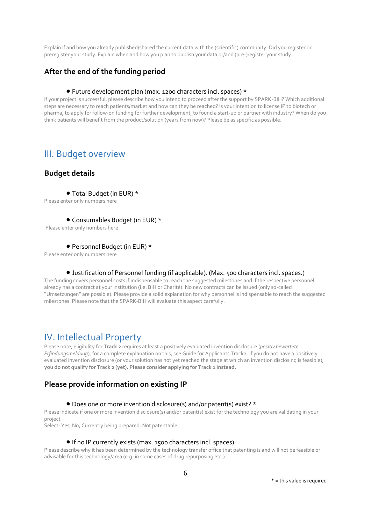Explain if and how you already published/shared the current data with the (scientific) community. Did you register or preregister your study. Explain when and how you plan to publish your data or/and (pre-)register your study.

## **After the end of the funding period**

#### Future development plan (max. 1200 characters incl. spaces) \*

If your project is successful, please describe how you intend to proceed after the support by SPARK-BIH? Which additional steps are necessary to reach patients/market and how can they be reached? Is your intention to license IP to biotech or pharma, to apply for follow-on funding for further development, to found a start-up or partner with industry? When do you think patients will benefit from the product/solution (years from now)? Please be as specific as possible.

## III. Budget overview

### **Budget details**

Total Budget (in EUR) \*

Please enter only numbers here

#### Consumables Budget (in EUR) \*

Please enter only numbers here

#### Personnel Budget (in EUR) \*

Please enter only numbers here

#### Justification of Personnel funding (if applicable). (Max. 500 characters incl. spaces.)

The funding covers personnel costs if indispensable to reach the suggested milestones and if the respective personnel already has a contract at your institution (i.e. BIH or Charité). No new contracts can be issued (only so-called "Umsetzungen" are possible). Please provide a solid explanation for why personnel is indispensable to reach the suggested milestones. Please note that the SPARK-BIH will evaluate this aspect carefully.

## IV. Intellectual Property

Please note, eligibility for **Track 2** requires at least a positively evaluated invention disclosure (*positiv bewertete Erfindungsmeldung*), for a complete explanation on this, see Guide for Applicants Track2. If you do not have a positively evaluated invention disclosure (or your solution has not yet reached the stage at which an invention disclosing is feasible), **you do not qualify for Track 2 (yet). Please consider applying for Track 1 instead.** 

## **Please provide information on existing IP**

#### ● Does one or more invention disclosure(s) and/or patent(s) exist? \*

Please indicate if one or more invention disclosure(s) and/or patent(s) exist for the technology you are validating in your project

Select: Yes, No, Currently being prepared, Not patentable

#### If no IP currently exists (max. 1500 characters incl. spaces)

Please describe why it has been determined by the technology transfer office that patenting is and will not be feasible or advisable for this technology/area (e.g. in some cases of drug repurposing etc.).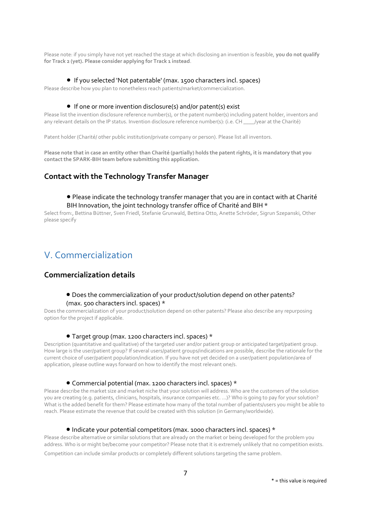Please note: if you simply have not yet reached the stage at which disclosing an invention is feasible, **you do not qualify for Track 2 (yet). Please consider applying for Track 1 instead**.

#### If you selected 'Not patentable' (max. 1500 characters incl. spaces)

Please describe how you plan to nonetheless reach patients/market/commercialization.

#### ● If one or more invention disclosure(s) and/or patent(s) exist

Please list the invention disclosure reference number(s), or the patent number(s) including patent holder, inventors and any relevant details on the IP status. Invention disclosure reference number(s): (i.e. CH \_\_\_\_/year at the Charité)

Patent holder (Charité/ other public institution/private company or person). Please list all inventors.

**Please note that in case an entity other than Charité (partially) holds the patent rights, it is mandatory that you contact the SPARK-BIH team before submitting this application.** 

## **Contact with the Technology Transfer Manager**

#### Please indicate the technology transfer manager that you are in contact with at Charité BIH Innovation, the joint technology transfer office of Charité and BIH \*

Select from:, Bettina Büttner, Sven Friedl, Stefanie Grunwald, Bettina Otto, Anette Schröder, Sigrun Szepanski, Other please specify

# V. Commercialization

### **Commercialization details**

#### Does the commercialization of your product/solution depend on other patents? (max. 500 characters incl. spaces) \*

Does the commercialization of your product/solution depend on other patents? Please also describe any repurposing option for the project if applicable.

#### Target group (max. 1200 characters incl. spaces) \*

Description (quantitative and qualitative) of the targeted user and/or patient group or anticipated target/patient group. How large is the user/patient group? If several users/patient groups/indications are possible, describe the rationale for the current choice of user/patient population/indication. If you have not yet decided on a user/patient population/area of application, please outline ways forward on how to identify the most relevant one/s.

#### Commercial potential (max. 1200 characters incl. spaces) \*

Please describe the market size and market niche that your solution will address. Who are the customers of the solution you are creating (e.g. patients, clinicians, hospitals, insurance companies etc. ...)? Who is going to pay for your solution? What is the added benefit for them? Please estimate how many of the total number of patients/users you might be able to reach. Please estimate the revenue that could be created with this solution (in Germany/worldwide).

#### Indicate your potential competitors (max. 1000 characters incl. spaces) \*

Please describe alternative or similar solutions that are already on the market or being developed for the problem you address. Who is or might be/become your competitor? Please note that it is extremely unlikely that no competition exists.

Competition can include similar products or completely different solutions targeting the same problem.